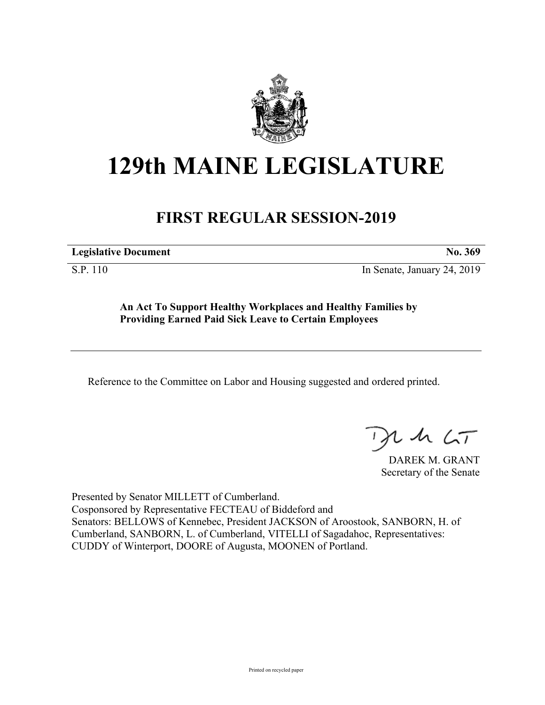

# **129th MAINE LEGISLATURE**

## **FIRST REGULAR SESSION-2019**

**Legislative Document No. 369**

S.P. 110 In Senate, January 24, 2019

**An Act To Support Healthy Workplaces and Healthy Families by Providing Earned Paid Sick Leave to Certain Employees**

Reference to the Committee on Labor and Housing suggested and ordered printed.

 $115$ 

DAREK M. GRANT Secretary of the Senate

Presented by Senator MILLETT of Cumberland. Cosponsored by Representative FECTEAU of Biddeford and Senators: BELLOWS of Kennebec, President JACKSON of Aroostook, SANBORN, H. of Cumberland, SANBORN, L. of Cumberland, VITELLI of Sagadahoc, Representatives: CUDDY of Winterport, DOORE of Augusta, MOONEN of Portland.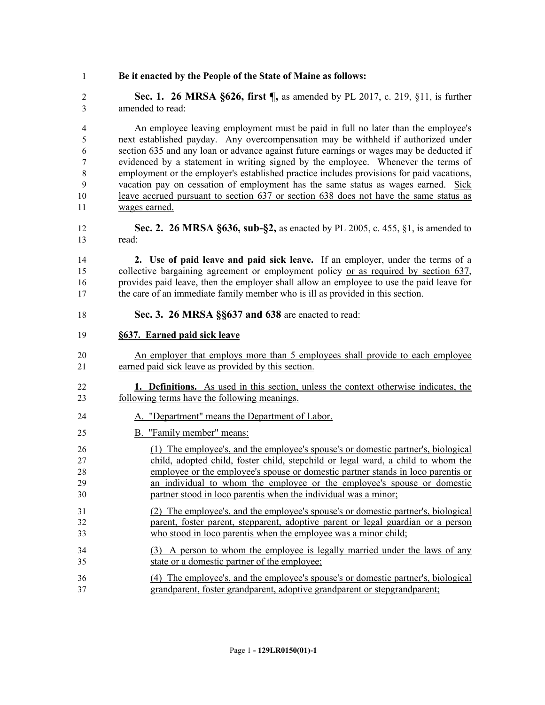#### **Be it enacted by the People of the State of Maine as follows:**

 **Sec. 1. 26 MRSA §626, first ¶,** as amended by PL 2017, c. 219, §11, is further amended to read:

 An employee leaving employment must be paid in full no later than the employee's next established payday. Any overcompensation may be withheld if authorized under section 635 and any loan or advance against future earnings or wages may be deducted if evidenced by a statement in writing signed by the employee. Whenever the terms of employment or the employer's established practice includes provisions for paid vacations, vacation pay on cessation of employment has the same status as wages earned. Sick leave accrued pursuant to section 637 or section 638 does not have the same status as wages earned.

 **Sec. 2. 26 MRSA §636, sub-§2,** as enacted by PL 2005, c. 455, §1, is amended to read:

 **2. Use of paid leave and paid sick leave.** If an employer, under the terms of a collective bargaining agreement or employment policy or as required by section 637, provides paid leave, then the employer shall allow an employee to use the paid leave for the care of an immediate family member who is ill as provided in this section.

**Sec. 3. 26 MRSA §§637 and 638** are enacted to read:

#### **§637. Earned paid sick leave**

- An employer that employs more than 5 employees shall provide to each employee earned paid sick leave as provided by this section.
- **1. Definitions.** As used in this section, unless the context otherwise indicates, the following terms have the following meanings.
- A. "Department" means the Department of Labor.
- B. "Family member" means:
- (1) The employee's, and the employee's spouse's or domestic partner's, biological child, adopted child, foster child, stepchild or legal ward, a child to whom the employee or the employee's spouse or domestic partner stands in loco parentis or an individual to whom the employee or the employee's spouse or domestic partner stood in loco parentis when the individual was a minor;
- (2) The employee's, and the employee's spouse's or domestic partner's, biological parent, foster parent, stepparent, adoptive parent or legal guardian or a person who stood in loco parentis when the employee was a minor child;
- (3) A person to whom the employee is legally married under the laws of any state or a domestic partner of the employee;
- (4) The employee's, and the employee's spouse's or domestic partner's, biological grandparent, foster grandparent, adoptive grandparent or stepgrandparent;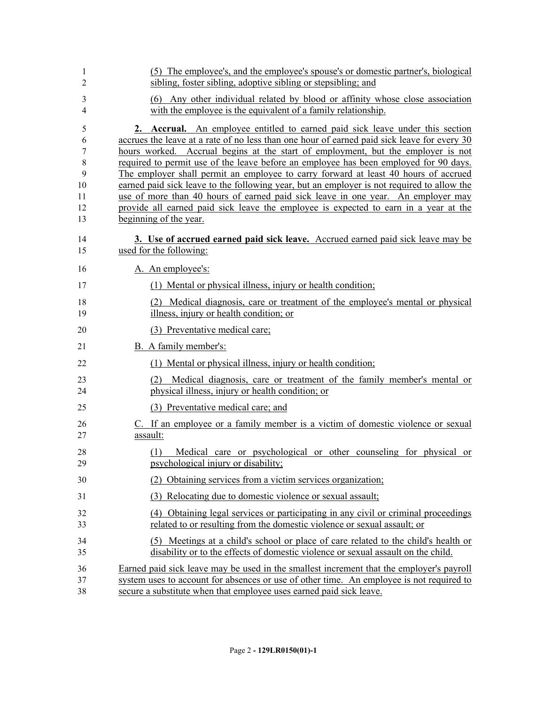| 1<br>$\overline{2}$                           | (5) The employee's, and the employee's spouse's or domestic partner's, biological<br>sibling, foster sibling, adoptive sibling or stepsibling; and                                                                                                                                                                                                                                                                                                                                                                                                                                                                                                                                                                                                   |
|-----------------------------------------------|------------------------------------------------------------------------------------------------------------------------------------------------------------------------------------------------------------------------------------------------------------------------------------------------------------------------------------------------------------------------------------------------------------------------------------------------------------------------------------------------------------------------------------------------------------------------------------------------------------------------------------------------------------------------------------------------------------------------------------------------------|
| 3<br>4                                        | (6) Any other individual related by blood or affinity whose close association<br>with the employee is the equivalent of a family relationship.                                                                                                                                                                                                                                                                                                                                                                                                                                                                                                                                                                                                       |
| 5<br>6<br>7<br>8<br>9<br>10<br>11<br>12<br>13 | 2. Accrual. An employee entitled to earned paid sick leave under this section<br>accrues the leave at a rate of no less than one hour of earned paid sick leave for every 30<br>hours worked. Accrual begins at the start of employment, but the employer is not<br>required to permit use of the leave before an employee has been employed for 90 days.<br>The employer shall permit an employee to carry forward at least 40 hours of accrued<br>earned paid sick leave to the following year, but an employer is not required to allow the<br>use of more than 40 hours of earned paid sick leave in one year. An employer may<br>provide all earned paid sick leave the employee is expected to earn in a year at the<br>beginning of the year. |
| 14<br>15                                      | 3. Use of accrued earned paid sick leave. Accrued earned paid sick leave may be<br>used for the following:                                                                                                                                                                                                                                                                                                                                                                                                                                                                                                                                                                                                                                           |
| 16                                            | A. An employee's:                                                                                                                                                                                                                                                                                                                                                                                                                                                                                                                                                                                                                                                                                                                                    |
| 17                                            | (1) Mental or physical illness, injury or health condition;                                                                                                                                                                                                                                                                                                                                                                                                                                                                                                                                                                                                                                                                                          |
| 18<br>19                                      | (2) Medical diagnosis, care or treatment of the employee's mental or physical<br>illness, injury or health condition; or                                                                                                                                                                                                                                                                                                                                                                                                                                                                                                                                                                                                                             |
| 20                                            | (3) Preventative medical care;                                                                                                                                                                                                                                                                                                                                                                                                                                                                                                                                                                                                                                                                                                                       |
| 21                                            | B. A family member's:                                                                                                                                                                                                                                                                                                                                                                                                                                                                                                                                                                                                                                                                                                                                |
| 22                                            | (1) Mental or physical illness, injury or health condition;                                                                                                                                                                                                                                                                                                                                                                                                                                                                                                                                                                                                                                                                                          |
| 23<br>24                                      | Medical diagnosis, care or treatment of the family member's mental or<br>(2)<br>physical illness, injury or health condition; or                                                                                                                                                                                                                                                                                                                                                                                                                                                                                                                                                                                                                     |
| 25                                            | (3) Preventative medical care; and                                                                                                                                                                                                                                                                                                                                                                                                                                                                                                                                                                                                                                                                                                                   |
| 26<br>27                                      | C. If an employee or a family member is a victim of domestic violence or sexual<br>assault:                                                                                                                                                                                                                                                                                                                                                                                                                                                                                                                                                                                                                                                          |
| 28<br>29                                      | Medical care or psychological or other counseling for physical or<br>(1)<br>psychological injury or disability;                                                                                                                                                                                                                                                                                                                                                                                                                                                                                                                                                                                                                                      |
| 30                                            | Obtaining services from a victim services organization;                                                                                                                                                                                                                                                                                                                                                                                                                                                                                                                                                                                                                                                                                              |
| 31                                            | (3) Relocating due to domestic violence or sexual assault;                                                                                                                                                                                                                                                                                                                                                                                                                                                                                                                                                                                                                                                                                           |
| 32<br>33                                      | (4) Obtaining legal services or participating in any civil or criminal proceedings<br>related to or resulting from the domestic violence or sexual assault; or                                                                                                                                                                                                                                                                                                                                                                                                                                                                                                                                                                                       |
| 34<br>35                                      | (5) Meetings at a child's school or place of care related to the child's health or<br>disability or to the effects of domestic violence or sexual assault on the child.                                                                                                                                                                                                                                                                                                                                                                                                                                                                                                                                                                              |
| 36<br>37<br>38                                | Earned paid sick leave may be used in the smallest increment that the employer's payroll<br>system uses to account for absences or use of other time. An employee is not required to<br>secure a substitute when that employee uses earned paid sick leave.                                                                                                                                                                                                                                                                                                                                                                                                                                                                                          |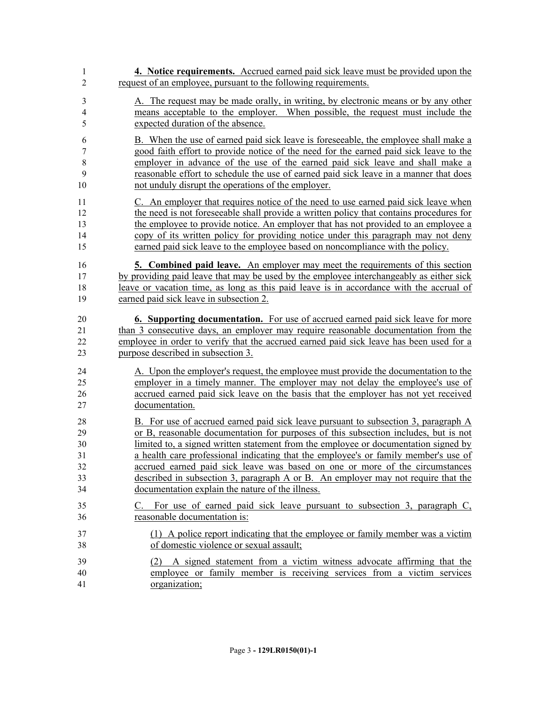| 1              | 4. Notice requirements. Accrued earned paid sick leave must be provided upon the        |
|----------------|-----------------------------------------------------------------------------------------|
| $\overline{2}$ | request of an employee, pursuant to the following requirements.                         |
| 3              | A. The request may be made orally, in writing, by electronic means or by any other      |
| $\overline{4}$ | means acceptable to the employer. When possible, the request must include the           |
| 5              | expected duration of the absence.                                                       |
| 6              | B. When the use of earned paid sick leave is foreseeable, the employee shall make a     |
| 7              | good faith effort to provide notice of the need for the earned paid sick leave to the   |
| $\,$ 8 $\,$    | employer in advance of the use of the earned paid sick leave and shall make a           |
| 9              | reasonable effort to schedule the use of earned paid sick leave in a manner that does   |
| 10             | not unduly disrupt the operations of the employer.                                      |
| 11             | C. An employer that requires notice of the need to use earned paid sick leave when      |
| 12             | the need is not foreseeable shall provide a written policy that contains procedures for |
| 13             | the employee to provide notice. An employer that has not provided to an employee a      |
| 14             | copy of its written policy for providing notice under this paragraph may not deny       |
| 15             | earned paid sick leave to the employee based on noncompliance with the policy.          |
| 16             | <b>5. Combined paid leave.</b> An employer may meet the requirements of this section    |
| 17             | by providing paid leave that may be used by the employee interchangeably as either sick |
| 18             | leave or vacation time, as long as this paid leave is in accordance with the accrual of |
| 19             | earned paid sick leave in subsection 2.                                                 |
| 20             | <b>6. Supporting documentation.</b> For use of accrued earned paid sick leave for more  |
| 21             | than 3 consecutive days, an employer may require reasonable documentation from the      |
| 22             | employee in order to verify that the accrued earned paid sick leave has been used for a |
| 23             | purpose described in subsection 3.                                                      |
| 24             | A. Upon the employer's request, the employee must provide the documentation to the      |
| 25             | employer in a timely manner. The employer may not delay the employee's use of           |
| 26             | accrued earned paid sick leave on the basis that the employer has not yet received      |
| 27             | documentation.                                                                          |
| 28             | B. For use of accrued earned paid sick leave pursuant to subsection 3, paragraph A      |
| 29             | or B, reasonable documentation for purposes of this subsection includes, but is not     |
| 30             | limited to, a signed written statement from the employee or documentation signed by     |
| 31             | a health care professional indicating that the employee's or family member's use of     |
| 32             | accrued earned paid sick leave was based on one or more of the circumstances            |
| 33             | described in subsection 3, paragraph A or B. An employer may not require that the       |
| 34             | documentation explain the nature of the illness.                                        |
| 35             | C. For use of earned paid sick leave pursuant to subsection 3, paragraph C,             |
| 36             | reasonable documentation is:                                                            |
| 37             | (1) A police report indicating that the employee or family member was a victim          |
| 38             | of domestic violence or sexual assault;                                                 |
| 39             | (2) A signed statement from a victim witness advocate affirming that the                |
| 40             | employee or family member is receiving services from a victim services                  |
| 41             | organization;                                                                           |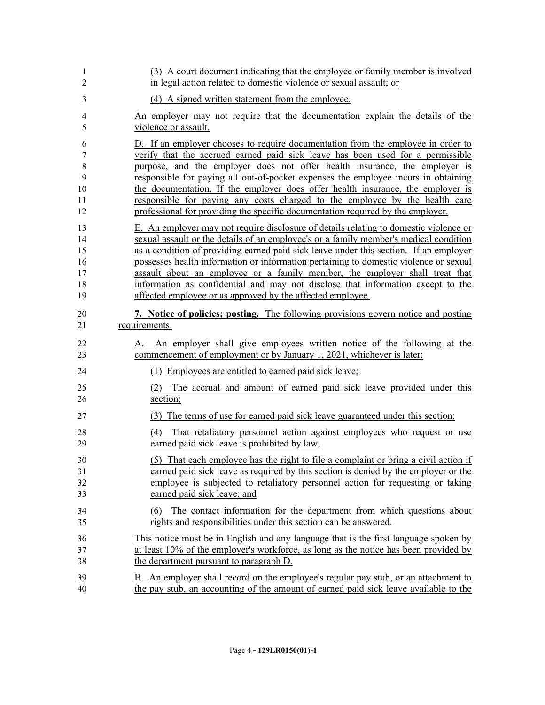| 1              | (3) A court document indicating that the employee or family member is involved        |
|----------------|---------------------------------------------------------------------------------------|
| $\overline{2}$ | in legal action related to domestic violence or sexual assault; or                    |
| 3              | (4) A signed written statement from the employee.                                     |
| 4              | An employer may not require that the documentation explain the details of the         |
| 5              | violence or assault.                                                                  |
| 6              | D. If an employer chooses to require documentation from the employee in order to      |
| 7              | verify that the accrued earned paid sick leave has been used for a permissible        |
| 8              | purpose, and the employer does not offer health insurance, the employer is            |
| 9              | responsible for paying all out-of-pocket expenses the employee incurs in obtaining    |
| 10             | the documentation. If the employer does offer health insurance, the employer is       |
| 11             | responsible for paying any costs charged to the employee by the health care           |
| 12             | professional for providing the specific documentation required by the employer.       |
| 13             | E. An employer may not require disclosure of details relating to domestic violence or |
| 14             | sexual assault or the details of an employee's or a family member's medical condition |
| 15             | as a condition of providing earned paid sick leave under this section. If an employer |
| 16             | possesses health information or information pertaining to domestic violence or sexual |
| 17             | assault about an employee or a family member, the employer shall treat that           |
| 18             | information as confidential and may not disclose that information except to the       |
| 19             | affected employee or as approved by the affected employee.                            |
| 20             | 7. Notice of policies; posting. The following provisions govern notice and posting    |
| 21             | requirements.                                                                         |
| 22             | An employer shall give employees written notice of the following at the               |
| 23             | commencement of employment or by January 1, 2021, whichever is later:                 |
| 24             | (1) Employees are entitled to earned paid sick leave;                                 |
| 25             | (2) The accrual and amount of earned paid sick leave provided under this              |
| 26             | section;                                                                              |
| 27             | (3) The terms of use for earned paid sick leave guaranteed under this section;        |
| 28             | (4) That retaliatory personnel action against employees who request or use            |
| 29             | earned paid sick leave is prohibited by law;                                          |
| 30             | (5) That each employee has the right to file a complaint or bring a civil action if   |
| 31             | earned paid sick leave as required by this section is denied by the employer or the   |
| 32             | employee is subjected to retaliatory personnel action for requesting or taking        |
| 33             | earned paid sick leave; and                                                           |
| 34             | (6) The contact information for the department from which questions about             |
| 35             | rights and responsibilities under this section can be answered.                       |
| 36             | This notice must be in English and any language that is the first language spoken by  |
| 37             | at least 10% of the employer's workforce, as long as the notice has been provided by  |
| 38             | the department pursuant to paragraph D.                                               |
| 39             | B. An employer shall record on the employee's regular pay stub, or an attachment to   |
| 40             | the pay stub, an accounting of the amount of earned paid sick leave available to the  |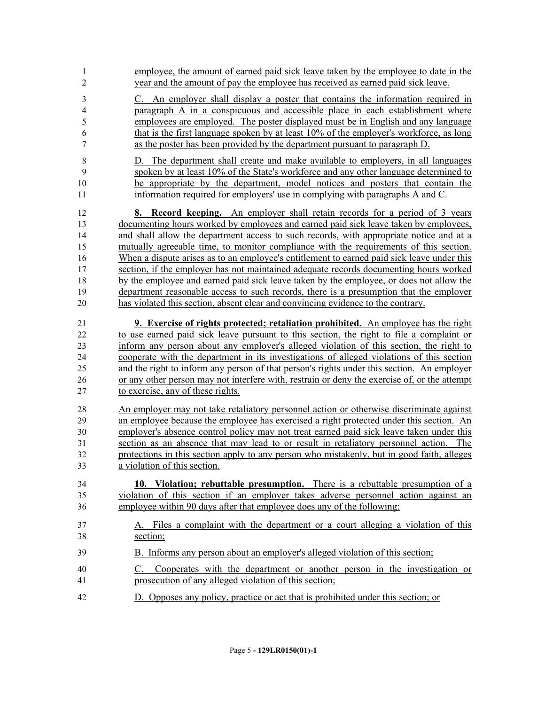| $\mathbf{1}$            | employee, the amount of earned paid sick leave taken by the employee to date in the                                                     |
|-------------------------|-----------------------------------------------------------------------------------------------------------------------------------------|
| $\overline{2}$          | year and the amount of pay the employee has received as earned paid sick leave.                                                         |
| $\mathfrak{Z}$          | C. An employer shall display a poster that contains the information required in                                                         |
| $\overline{\mathbf{4}}$ | paragraph A in a conspicuous and accessible place in each establishment where                                                           |
| 5                       | employees are employed. The poster displayed must be in English and any language                                                        |
| 6                       | that is the first language spoken by at least 10% of the employer's workforce, as long                                                  |
| 7                       | as the poster has been provided by the department pursuant to paragraph D.                                                              |
| $\,8\,$                 | D. The department shall create and make available to employers, in all languages                                                        |
| 9                       | spoken by at least 10% of the State's workforce and any other language determined to                                                    |
| $10\,$                  | be appropriate by the department, model notices and posters that contain the                                                            |
| 11                      | information required for employers' use in complying with paragraphs A and C.                                                           |
| 12                      | <b>8.</b> Record keeping. An employer shall retain records for a period of 3 years                                                      |
| 13                      | documenting hours worked by employees and earned paid sick leave taken by employees,                                                    |
| 14                      | and shall allow the department access to such records, with appropriate notice and at a                                                 |
| 15                      | mutually agreeable time, to monitor compliance with the requirements of this section.                                                   |
| 16                      | When a dispute arises as to an employee's entitlement to earned paid sick leave under this                                              |
| 17                      | section, if the employer has not maintained adequate records documenting hours worked                                                   |
| 18                      | by the employee and earned paid sick leave taken by the employee, or does not allow the                                                 |
| 19                      | department reasonable access to such records, there is a presumption that the employer                                                  |
| 20                      | has violated this section, absent clear and convincing evidence to the contrary.                                                        |
| 21                      | <b>9.</b> Exercise of rights protected; retaliation prohibited. An employee has the right                                               |
| 22                      | to use earned paid sick leave pursuant to this section, the right to file a complaint or                                                |
| 23                      | inform any person about any employer's alleged violation of this section, the right to                                                  |
| 24                      | cooperate with the department in its investigations of alleged violations of this section                                               |
| 25                      | and the right to inform any person of that person's rights under this section. An employer                                              |
| 26                      | or any other person may not interfere with, restrain or deny the exercise of, or the attempt                                            |
| 27                      | to exercise, any of these rights.                                                                                                       |
| 28                      | An employer may not take retaliatory personnel action or otherwise discriminate against                                                 |
| 29                      | an employee because the employee has exercised a right protected under this section. An                                                 |
| 30                      | employer's absence control policy may not treat earned paid sick leave taken under this                                                 |
| 31                      | section as an absence that may lead to or result in retaliatory personnel action. The                                                   |
| 32                      | protections in this section apply to any person who mistakenly, but in good faith, alleges                                              |
| 33                      | a violation of this section.                                                                                                            |
| 34                      | 10. Violation; rebuttable presumption. There is a rebuttable presumption of a                                                           |
| 35                      | violation of this section if an employer takes adverse personnel action against an                                                      |
| 36                      | employee within 90 days after that employee does any of the following:                                                                  |
| 37                      | A. Files a complaint with the department or a court alleging a violation of this                                                        |
| 38                      | section;                                                                                                                                |
| 39                      | B. Informs any person about an employer's alleged violation of this section;                                                            |
| 40<br>41                | Cooperates with the department or another person in the investigation or<br>C.<br>prosecution of any alleged violation of this section; |
| 42                      | D. Opposes any policy, practice or act that is prohibited under this section; or                                                        |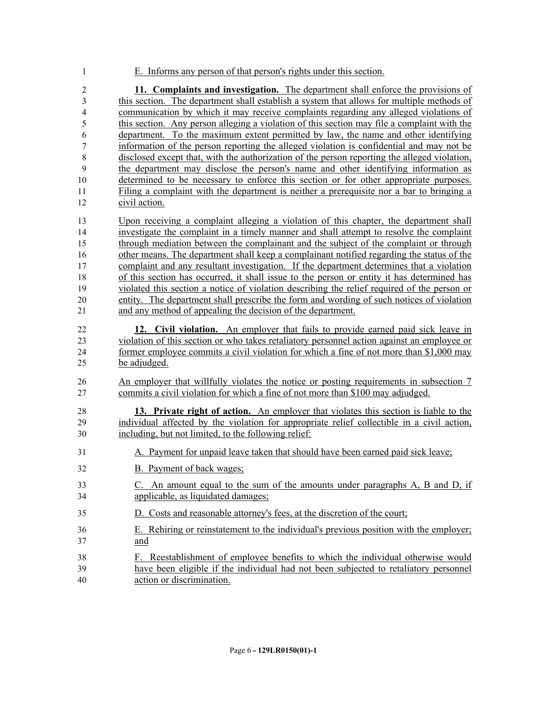E. Informs any person of that person's rights under this section.

 **11. Complaints and investigation.** The department shall enforce the provisions of this section. The department shall establish a system that allows for multiple methods of communication by which it may receive complaints regarding any alleged violations of this section. Any person alleging a violation of this section may file a complaint with the department. To the maximum extent permitted by law, the name and other identifying information of the person reporting the alleged violation is confidential and may not be disclosed except that, with the authorization of the person reporting the alleged violation, the department may disclose the person's name and other identifying information as determined to be necessary to enforce this section or for other appropriate purposes. Filing a complaint with the department is neither a prerequisite nor a bar to bringing a civil action.

 Upon receiving a complaint alleging a violation of this chapter, the department shall investigate the complaint in a timely manner and shall attempt to resolve the complaint through mediation between the complainant and the subject of the complaint or through other means. The department shall keep a complainant notified regarding the status of the complaint and any resultant investigation. If the department determines that a violation of this section has occurred, it shall issue to the person or entity it has determined has violated this section a notice of violation describing the relief required of the person or entity. The department shall prescribe the form and wording of such notices of violation and any method of appealing the decision of the department.

- **12. Civil violation.** An employer that fails to provide earned paid sick leave in violation of this section or who takes retaliatory personnel action against an employee or former employee commits a civil violation for which a fine of not more than \$1,000 may be adjudged.
- 26 An employer that willfully violates the notice or posting requirements in subsection 7 commits a civil violation for which a fine of not more than \$100 may adjudged.

 **13. Private right of action.** An employer that violates this section is liable to the individual affected by the violation for appropriate relief collectible in a civil action, including, but not limited, to the following relief:

- A. Payment for unpaid leave taken that should have been earned paid sick leave;
- B. Payment of back wages;
- C. An amount equal to the sum of the amounts under paragraphs A, B and D, if applicable, as liquidated damages;
- D. Costs and reasonable attorney's fees, at the discretion of the court;
- E. Rehiring or reinstatement to the individual's previous position with the employer; and
- F. Reestablishment of employee benefits to which the individual otherwise would have been eligible if the individual had not been subjected to retaliatory personnel action or discrimination.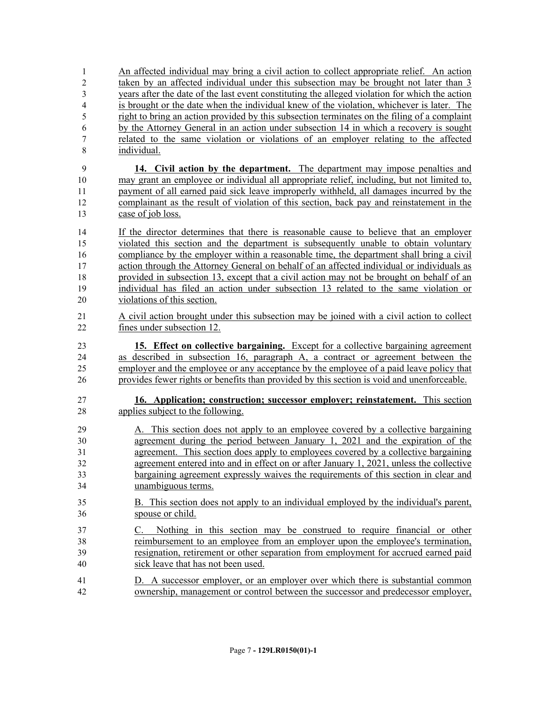An affected individual may bring a civil action to collect appropriate relief. An action taken by an affected individual under this subsection may be brought not later than 3 years after the date of the last event constituting the alleged violation for which the action is brought or the date when the individual knew of the violation, whichever is later. The right to bring an action provided by this subsection terminates on the filing of a complaint by the Attorney General in an action under subsection 14 in which a recovery is sought related to the same violation or violations of an employer relating to the affected individual. **14. Civil action by the department.** The department may impose penalties and may grant an employee or individual all appropriate relief, including, but not limited to, payment of all earned paid sick leave improperly withheld, all damages incurred by the complainant as the result of violation of this section, back pay and reinstatement in the case of job loss. If the director determines that there is reasonable cause to believe that an employer violated this section and the department is subsequently unable to obtain voluntary compliance by the employer within a reasonable time, the department shall bring a civil action through the Attorney General on behalf of an affected individual or individuals as provided in subsection 13, except that a civil action may not be brought on behalf of an individual has filed an action under subsection 13 related to the same violation or violations of this section. A civil action brought under this subsection may be joined with a civil action to collect fines under subsection 12. **15. Effect on collective bargaining.** Except for a collective bargaining agreement as described in subsection 16, paragraph A, a contract or agreement between the employer and the employee or any acceptance by the employee of a paid leave policy that provides fewer rights or benefits than provided by this section is void and unenforceable. **16. Application; construction; successor employer; reinstatement.** This section applies subject to the following. A. This section does not apply to an employee covered by a collective bargaining agreement during the period between January 1, 2021 and the expiration of the agreement. This section does apply to employees covered by a collective bargaining agreement entered into and in effect on or after January 1, 2021, unless the collective bargaining agreement expressly waives the requirements of this section in clear and unambiguous terms. B. This section does not apply to an individual employed by the individual's parent, spouse or child. C. Nothing in this section may be construed to require financial or other reimbursement to an employee from an employer upon the employee's termination, resignation, retirement or other separation from employment for accrued earned paid sick leave that has not been used. D. A successor employer, or an employer over which there is substantial common ownership, management or control between the successor and predecessor employer,